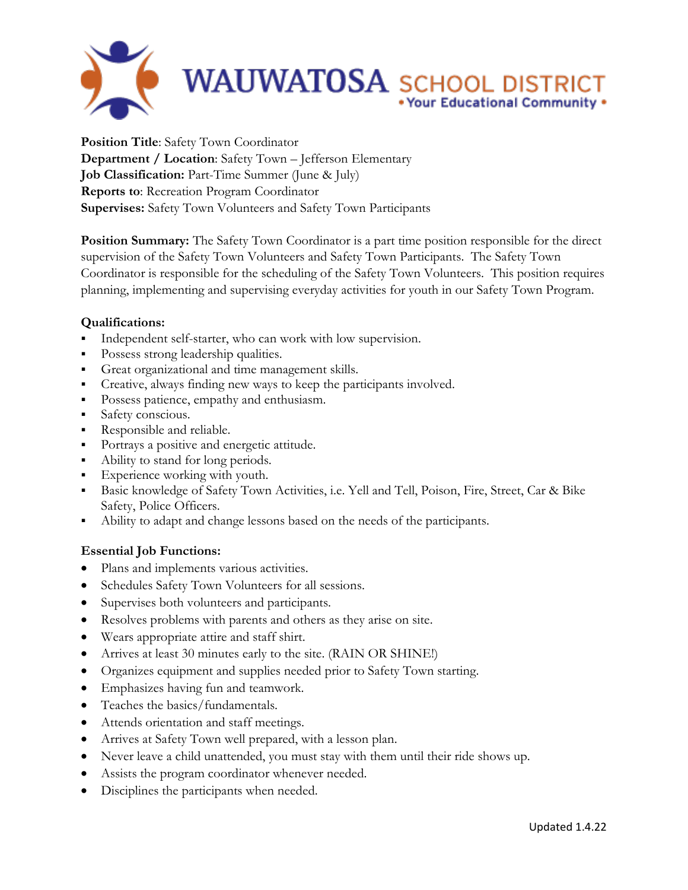

**Position Title**: Safety Town Coordinator **Department / Location**: Safety Town – Jefferson Elementary **Job Classification:** Part-Time Summer (June & July) **Reports to**: Recreation Program Coordinator **Supervises:** Safety Town Volunteers and Safety Town Participants

**Position Summary:** The Safety Town Coordinator is a part time position responsible for the direct supervision of the Safety Town Volunteers and Safety Town Participants. The Safety Town Coordinator is responsible for the scheduling of the Safety Town Volunteers. This position requires planning, implementing and supervising everyday activities for youth in our Safety Town Program.

## **Qualifications:**

- Independent self-starter, who can work with low supervision.
- Possess strong leadership qualities.
- Great organizational and time management skills.
- Creative, always finding new ways to keep the participants involved.
- Possess patience, empathy and enthusiasm.
- Safety conscious.
- Responsible and reliable.
- Portrays a positive and energetic attitude.
- Ability to stand for long periods.
- Experience working with youth.
- Basic knowledge of Safety Town Activities, i.e. Yell and Tell, Poison, Fire, Street, Car & Bike Safety, Police Officers.
- Ability to adapt and change lessons based on the needs of the participants.

## **Essential Job Functions:**

- Plans and implements various activities.
- Schedules Safety Town Volunteers for all sessions.
- Supervises both volunteers and participants.
- Resolves problems with parents and others as they arise on site.
- Wears appropriate attire and staff shirt.
- Arrives at least 30 minutes early to the site. (RAIN OR SHINE!)
- Organizes equipment and supplies needed prior to Safety Town starting.
- Emphasizes having fun and teamwork.
- Teaches the basics/fundamentals.
- Attends orientation and staff meetings.
- Arrives at Safety Town well prepared, with a lesson plan.
- Never leave a child unattended, you must stay with them until their ride shows up.
- Assists the program coordinator whenever needed.
- Disciplines the participants when needed.